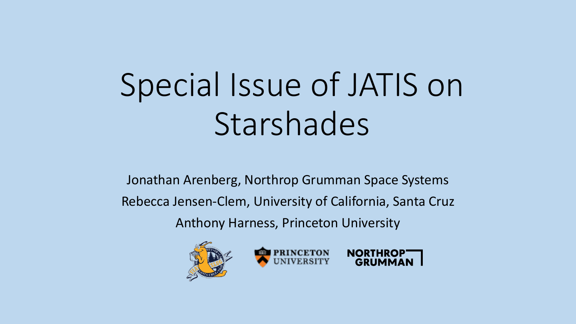## Special Issue of JATIS on Starshades

 Jonathan Arenberg, Northrop Grumman Space Systems Anthony Harness, Princeton University Rebecca Jensen-Clem, University of California, Santa Cruz





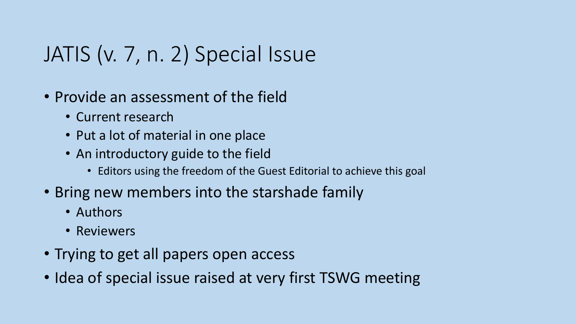## JATIS (v. 7, n. 2) Special Issue

- • Provide an assessment of the field
	- Current research
	- Put a lot of material in one place
	- • An introductory guide to the field
		- Editors using the freedom of the Guest Editorial to achieve this goal
- • Bring new members into the starshade family
	- Authors
	- Reviewers
- Trying to get all papers open access
- Idea of special issue raised at very first TSWG meeting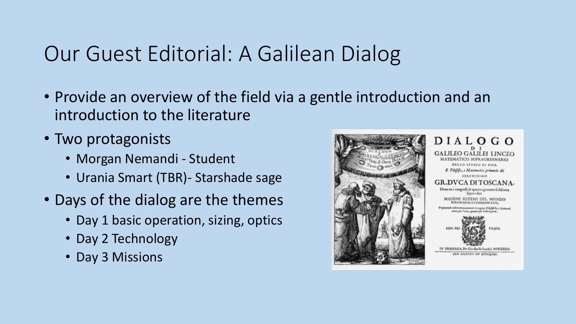## Our Guest Editorial: A Galilean Dialog

- • Provide an overview of the field via a gentle introduction and an introduction to the literature
- Two protagonists
	- Morgan Nemandi Student
	- Urania Smart (TBR)- Starshade sage
- • Days of the dialog are the themes
	- Day 1 basic operation, sizing, optics
	- Day 2 Technology
	- Day 3 Missions

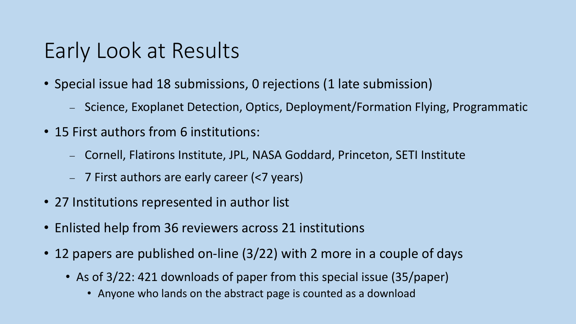## Early Look at Results

- • Special issue had 18 submissions, 0 rejections (1 late submission)
	- Science, Exoplanet Detection, Optics, Deployment/Formation Flying, Programmatic
- 15 First authors from 6 institutions:
	- Cornell, Flatirons Institute, JPL, NASA Goddard, Princeton, SETI Institute
	- 7 First authors are early career (<7 years)
- 27 Institutions represented in author list
- Enlisted help from 36 reviewers across 21 institutions
- • 12 papers are published on-line (3/22) with 2 more in a couple of days
	- • As of 3/22: 421 downloads of paper from this special issue (35/paper)
		- Anyone who lands on the abstract page is counted as a download